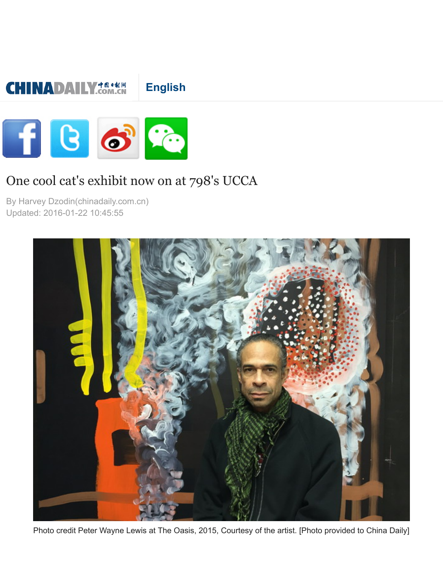## **English**



## [One cool cat's exhibit n](http://m.chinadaily.com.cn/en/index.html)o[w on at 79](http://m.chinadaily.com.cn/en/huizong.html)8's UCCA

By Harvey Dzodin(chinadaily.com.c[n\)](http://m.chinadaily.com.cn/en/2014-11/21/content_17013518.htm) Updated: 2016-01-22 10:45:55

**CHINADAILY COM.CN** 



Photo credit Peter Wayne Lewis at The Oasis, 2015, Courtesy of the artist. [Photo provided to Ch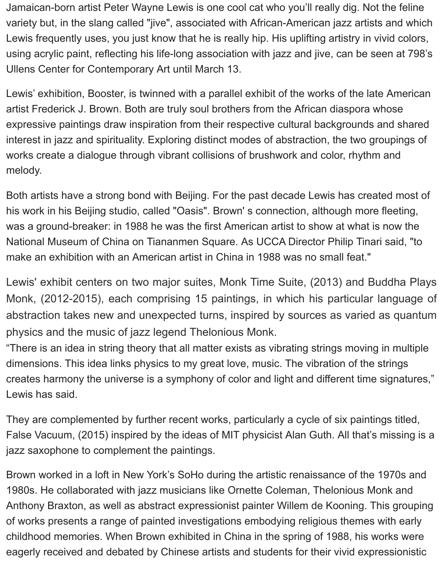Jamaican-born artist Peter Wayne Lewis is one cool cat who you'll really dig. Not the feline variety but, in the slang called "jive", associated with African-American jazz artists and which Lewis frequently uses, you just know that he is really hip. His uplifting artistry in vivid colors, using acrylic paint, reflecting his life-long association with jazz and jive, can be seen at 798's Ullens Center for Contemporary Art until March 13.

Lewis' exhibition, Booster, is twinned with a parallel exhibit of the works of the late American artist Frederick J. Brown. Both are truly soul brothers from the African diaspora whose expressive paintings draw inspiration from their respective cultural backgrounds and shared interest in jazz and spirituality. Exploring distinct modes of abstraction, the two groupings of works create a dialogue through vibrant collisions of brushwork and color, rhythm and melody.

Both artists have a strong bond with Beijing. For the past decade Lewis has created most of his work in his Beijing studio, called "Oasis". Brown' s connection, although more fleeting, was a ground-breaker: in 1988 he was the first American artist to show at what is now the National Museum of China on Tiananmen Square. As UCCA Director Philip Tinari said, "to make an exhibition with an American artist in China in 1988 was no small feat."

Lewis' exhibit centers on two major suites, Monk Time Suite, (2013) and Buddha Plays Monk, (2012-2015), each comprising 15 paintings, in which his particular language of abstraction takes new and unexpected turns, inspired by sources as varied as quantum physics and the music of jazz legend Thelonious Monk.

"There is an idea in string theory that all matter exists as vibrating strings moving in multiple dimensions. This idea links physics to my great love, music. The vibration of the strings creates harmony the universe is a symphony of color and light and different time signatures," Lewis has said.

They are complemented by further recent works, particularly a cycle of six paintings titled, False Vacuum, (2015) inspired by the ideas of MIT physicist Alan Guth. All that's missing is a jazz saxophone to complement the paintings.

Brown worked in a loft in New York's SoHo during the artistic renaissance of the 1970s and 1980s. He collaborated with jazz musicians like Ornette Coleman, Thelonious Monk and Anthony Braxton, as well as abstract expressionist painter Willem de Kooning. This grouping of works presents a range of painted investigations embodying religious themes with early childhood memories. When Brown exhibited in China in the spring of 1988, his works were eagerly received and debated by Chinese artists and students for their vivid expressionistic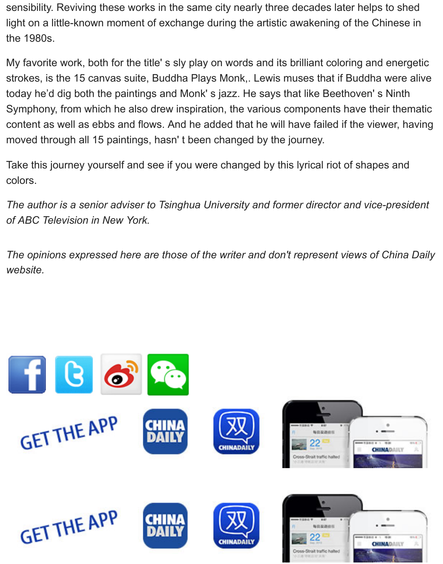strokes, is the 15 canvas suite, Buddha Plays Monk,. Lewis muses that if Buddh today he'd dig both the paintings and Monk's jazz. He says that like Beethoven' Symphony, from which he also drew inspiration, the various components have the content as well as ebbs and flows. And he added that he will have failed if the view moved through all 15 paintings, hasn' t been changed by the journey.

Take this journey yourself and see if you were changed by this lyrical riot of shap colors.

The author is a senior adviser to Tsinghua University and former director and vic *of ABC Television in New York.*

The opinions expressed here are those of the writer and don't represent views of *website.*

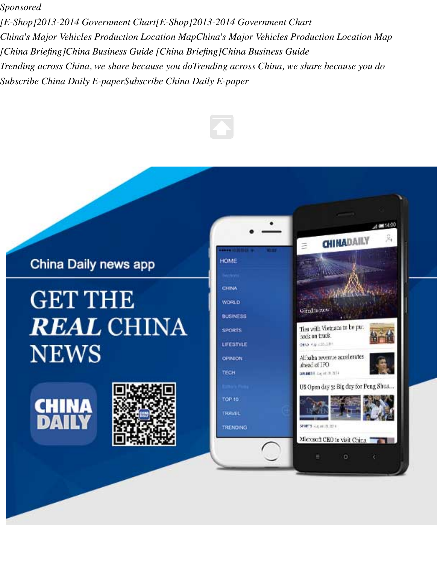*[Subscribe](http://m.chinadaily.com.cn/en/2016-01/22/content_23197523.htm#) China Daily E-paperSubscribe China Daily E-paper*



## China Daily news app

## **GET THE REAL CHINA NEWS**





| HOME                       |  |
|----------------------------|--|
| Horn                       |  |
| CHINA                      |  |
| <b>WORLD</b>               |  |
| <b>BUSINESS</b>            |  |
| <b>SPORTS</b>              |  |
| LIFESTYLE                  |  |
| <b>OPINION</b>             |  |
| TECH                       |  |
| <b>Service State</b><br>-- |  |
| TOP 10                     |  |
| <b>TRAVEL</b>              |  |

**TRENDING** 



ö